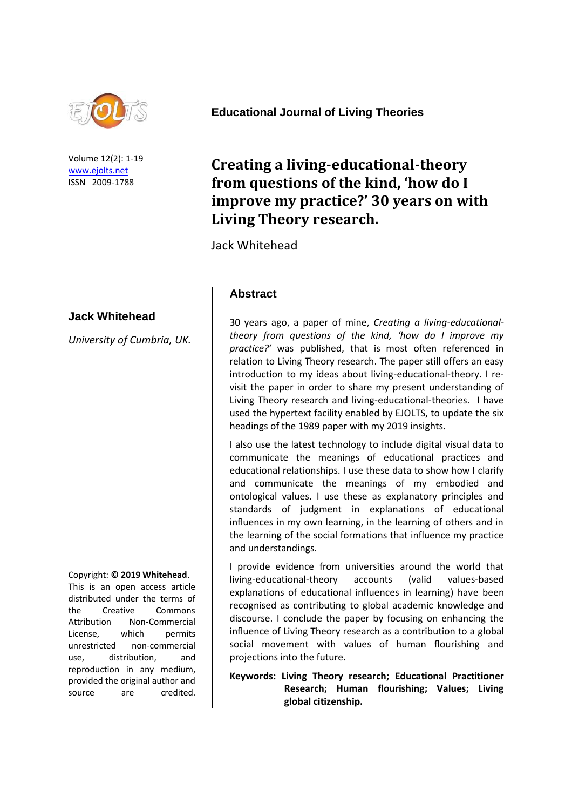

Volume 12(2): 1-19 [www.ejolts.net](http://www.ejolts.net/) ISSN 2009-1788

#### **Jack Whitehead**

*University of Cumbria, UK.*

Copyright: **© 2019 Whitehead**.

This is an open access article distributed under the terms of the Creative Commons Attribution Non-Commercial License, which permits unrestricted non-commercial use, distribution, and reproduction in any medium, provided the original author and source are credited.

**Educational Journal of Living Theories**

# **Creating a living-educational-theory from questions of the kind, 'how do I improve my practice?' 30 years on with Living Theory research.**

Jack Whitehead

### **Abstract**

30 years ago, a paper of mine, *Creating a living-educationaltheory from questions of the kind, 'how do I improve my practice?'* was published, that is most often referenced in relation to Living Theory research. The paper still offers an easy introduction to my ideas about living-educational-theory. I revisit the paper in order to share my present understanding of Living Theory research and living-educational-theories. I have used the hypertext facility enabled by EJOLTS, to update the six headings of the 1989 paper with my 2019 insights.

I also use the latest technology to include digital visual data to communicate the meanings of educational practices and educational relationships. I use these data to show how I clarify and communicate the meanings of my embodied and ontological values. I use these as explanatory principles and standards of judgment in explanations of educational influences in my own learning, in the learning of others and in the learning of the social formations that influence my practice and understandings.

I provide evidence from universities around the world that living-educational-theory accounts (valid values-based explanations of educational influences in learning) have been recognised as contributing to global academic knowledge and discourse. I conclude the paper by focusing on enhancing the influence of Living Theory research as a contribution to a global social movement with values of human flourishing and projections into the future.

#### **Keywords: Living Theory research; Educational Practitioner Research; Human flourishing; Values; Living global citizenship.**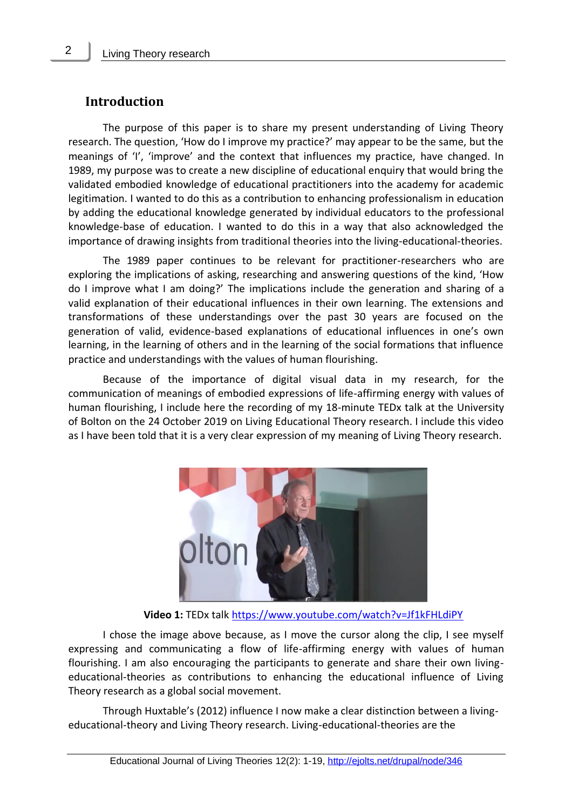#### **Introduction**

The purpose of this paper is to share my present understanding of Living Theory research. The question, 'How do I improve my practice?' may appear to be the same, but the meanings of 'I', 'improve' and the context that influences my practice, have changed. In 1989, my purpose was to create a new discipline of educational enquiry that would bring the validated embodied knowledge of educational practitioners into the academy for academic legitimation. I wanted to do this as a contribution to enhancing professionalism in education by adding the educational knowledge generated by individual educators to the professional knowledge-base of education. I wanted to do this in a way that also acknowledged the importance of drawing insights from traditional theories into the living-educational-theories.

The 1989 paper continues to be relevant for practitioner-researchers who are exploring the implications of asking, researching and answering questions of the kind, 'How do I improve what I am doing?' The implications include the generation and sharing of a valid explanation of their educational influences in their own learning. The extensions and transformations of these understandings over the past 30 years are focused on the generation of valid, evidence-based explanations of educational influences in one's own learning, in the learning of others and in the learning of the social formations that influence practice and understandings with the values of human flourishing.

Because of the importance of digital visual data in my research, for the communication of meanings of embodied expressions of life-affirming energy with values of human flourishing, I include here the recording of my 18-minute TEDx talk at the University of Bolton on the 24 October 2019 on Living Educational Theory research. I include this video as I have been told that it is a very clear expression of my meaning of Living Theory research.



**Video 1:** TEDx talk<https://www.youtube.com/watch?v=Jf1kFHLdiPY>

I chose the image above because, as I move the cursor along the clip, I see myself expressing and communicating a flow of life-affirming energy with values of human flourishing. I am also encouraging the participants to generate and share their own livingeducational-theories as contributions to enhancing the educational influence of Living Theory research as a global social movement.

Through Huxtable's (2012) influence I now make a clear distinction between a livingeducational-theory and Living Theory research. Living-educational-theories are the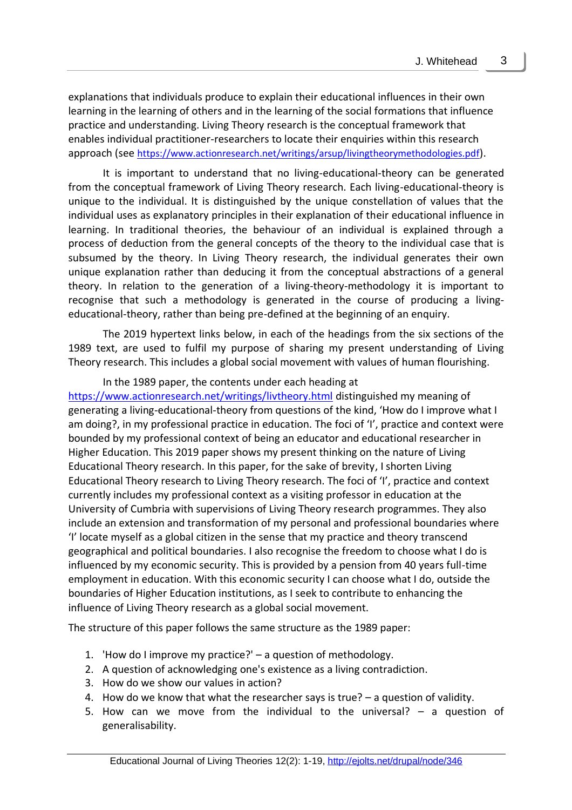explanations that individuals produce to explain their educational influences in their own learning in the learning of others and in the learning of the social formations that influence practice and understanding. Living Theory research is the conceptual framework that enables individual practitioner-researchers to locate their enquiries within this research approach (see <https://www.actionresearch.net/writings/arsup/livingtheorymethodologies.pdf>).

It is important to understand that no living-educational-theory can be generated from the conceptual framework of Living Theory research. Each living-educational-theory is unique to the individual. It is distinguished by the unique constellation of values that the individual uses as explanatory principles in their explanation of their educational influence in learning. In traditional theories, the behaviour of an individual is explained through a process of deduction from the general concepts of the theory to the individual case that is subsumed by the theory. In Living Theory research, the individual generates their own unique explanation rather than deducing it from the conceptual abstractions of a general theory. In relation to the generation of a living-theory-methodology it is important to recognise that such a methodology is generated in the course of producing a livingeducational-theory, rather than being pre-defined at the beginning of an enquiry.

The 2019 hypertext links below, in each of the headings from the six sections of the 1989 text, are used to fulfil my purpose of sharing my present understanding of Living Theory research. This includes a global social movement with values of human flourishing.

In the 1989 paper, the contents under each heading at

<https://www.actionresearch.net/writings/livtheory.html> distinguished my meaning of generating a living-educational-theory from questions of the kind, 'How do I improve what I am doing?, in my professional practice in education. The foci of 'I', practice and context were bounded by my professional context of being an educator and educational researcher in Higher Education. This 2019 paper shows my present thinking on the nature of Living Educational Theory research. In this paper, for the sake of brevity, I shorten Living Educational Theory research to Living Theory research. The foci of 'I', practice and context currently includes my professional context as a visiting professor in education at the University of Cumbria with supervisions of Living Theory research programmes. They also include an extension and transformation of my personal and professional boundaries where 'I' locate myself as a global citizen in the sense that my practice and theory transcend geographical and political boundaries. I also recognise the freedom to choose what I do is influenced by my economic security. This is provided by a pension from 40 years full-time employment in education. With this economic security I can choose what I do, outside the boundaries of Higher Education institutions, as I seek to contribute to enhancing the influence of Living Theory research as a global social movement.

The structure of this paper follows the same structure as the 1989 paper:

- 1. 'How do I improve my practice?' a question of methodology.
- 2. A question of acknowledging one's existence as a living contradiction.
- 3. How do we show our values in action?
- 4. How do we know that what the researcher says is true? a question of validity.
- 5. How can we move from the individual to the universal? a question of generalisability.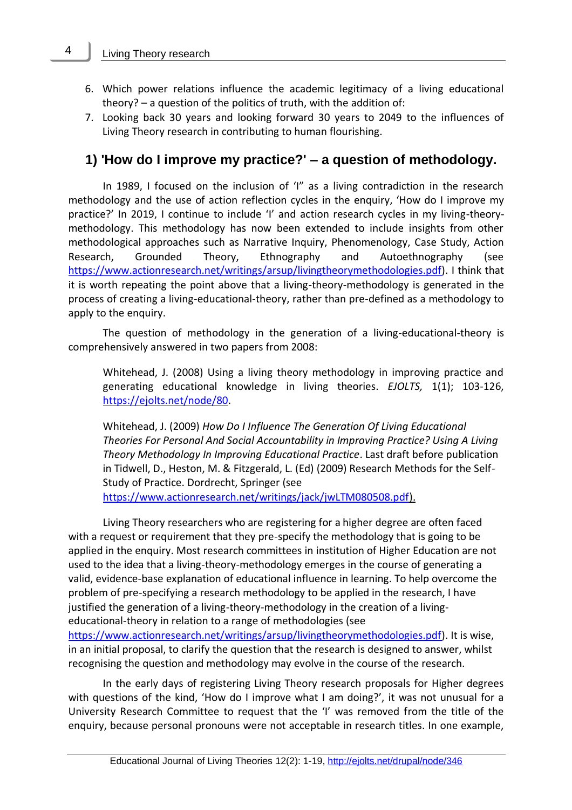- 6. Which power relations influence the academic legitimacy of a living educational theory? – a question of the politics of truth, with the addition of:
- 7. Looking back 30 years and looking forward 30 years to 2049 to the influences of Living Theory research in contributing to human flourishing.

## **1) 'How do I improve my practice?' – a question of methodology.**

In 1989, I focused on the inclusion of 'I" as a living contradiction in the research methodology and the use of action reflection cycles in the enquiry, 'How do I improve my practice?' In 2019, I continue to include 'I' and action research cycles in my living-theorymethodology. This methodology has now been extended to include insights from other methodological approaches such as Narrative Inquiry, Phenomenology, Case Study, Action Research, Grounded Theory, Ethnography and Autoethnography (see [https://www.actionresearch.net/writings/arsup/livingtheorymethodologies.pdf\)](https://www.actionresearch.net/writings/arsup/livingtheorymethodologies.pdf). I think that it is worth repeating the point above that a living-theory-methodology is generated in the process of creating a living-educational-theory, rather than pre-defined as a methodology to apply to the enquiry.

The question of methodology in the generation of a living-educational-theory is comprehensively answered in two papers from 2008:

Whitehead, J. (2008) Using a living theory methodology in improving practice and generating educational knowledge in living theories. *EJOLTS,* 1(1); 103-126, [https://ejolts.net/node/80.](https://ejolts.net/node/80)

Whitehead, J. (2009) *How Do I Influence The Generation Of Living Educational Theories For Personal And Social Accountability in Improving Practice? Using A Living Theory Methodology In Improving Educational Practice*. Last draft before publication in Tidwell, D., Heston, M. & Fitzgerald, L. (Ed) (2009) Research Methods for the Self-Study of Practice. Dordrecht, Springer (see

[https://www.actionresearch.net/writings/jack/jwLTM080508.pdf\)](https://www.actionresearch.net/writings/jack/jwLTM080508.pdf).

Living Theory researchers who are registering for a higher degree are often faced with a request or requirement that they pre-specify the methodology that is going to be applied in the enquiry. Most research committees in institution of Higher Education are not used to the idea that a living-theory-methodology emerges in the course of generating a valid, evidence-base explanation of educational influence in learning. To help overcome the problem of pre-specifying a research methodology to be applied in the research, I have justified the generation of a living-theory-methodology in the creation of a livingeducational-theory in relation to a range of methodologies (see

[https://www.actionresearch.net/writings/arsup/livingtheorymethodologies.pdf\)](https://www.actionresearch.net/writings/arsup/livingtheorymethodologies.pdf). It is wise, in an initial proposal, to clarify the question that the research is designed to answer, whilst recognising the question and methodology may evolve in the course of the research.

In the early days of registering Living Theory research proposals for Higher degrees with questions of the kind, 'How do I improve what I am doing?', it was not unusual for a University Research Committee to request that the 'I' was removed from the title of the enquiry, because personal pronouns were not acceptable in research titles. In one example,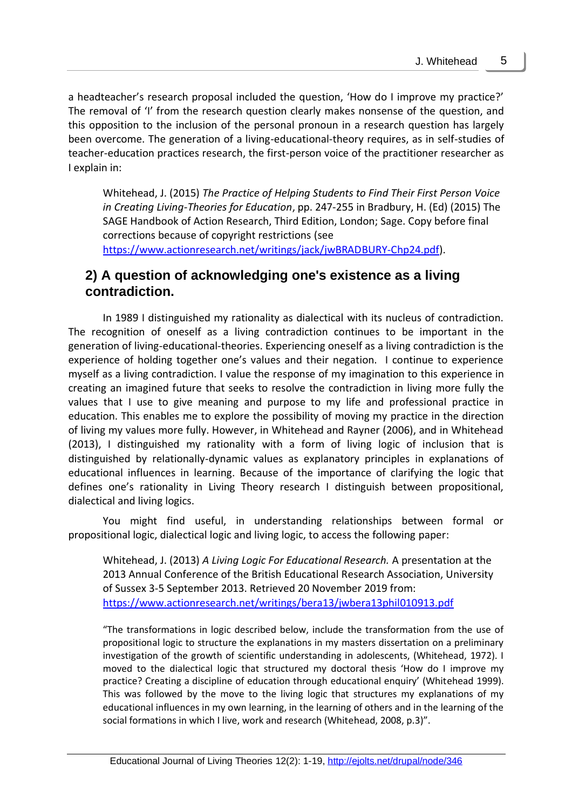a headteacher's research proposal included the question, 'How do I improve my practice?' The removal of 'I' from the research question clearly makes nonsense of the question, and this opposition to the inclusion of the personal pronoun in a research question has largely been overcome. The generation of a living-educational-theory requires, as in self-studies of teacher-education practices research, the first-person voice of the practitioner researcher as I explain in:

Whitehead, J. (2015) *The Practice of Helping Students to Find Their First Person Voice in Creating Living-Theories for Education*, pp. 247-255 in Bradbury, H. (Ed) (2015) The SAGE Handbook of Action Research, Third Edition, London; Sage. Copy before final corrections because of copyright restrictions (see [https://www.actionresearch.net/writings/jack/jwBRADBURY-Chp24.pdf\)](https://www.actionresearch.net/writings/jack/jwBRADBURY-Chp24.pdf).

### **2) A question of acknowledging one's existence as a living contradiction.**

In 1989 I distinguished my rationality as dialectical with its nucleus of contradiction. The recognition of oneself as a living contradiction continues to be important in the generation of living-educational-theories. Experiencing oneself as a living contradiction is the experience of holding together one's values and their negation. I continue to experience myself as a living contradiction. I value the response of my imagination to this experience in creating an imagined future that seeks to resolve the contradiction in living more fully the values that I use to give meaning and purpose to my life and professional practice in education. This enables me to explore the possibility of moving my practice in the direction of living my values more fully. However, in Whitehead and Rayner (2006), and in Whitehead (2013), I distinguished my rationality with a form of living logic of inclusion that is distinguished by relationally-dynamic values as explanatory principles in explanations of educational influences in learning. Because of the importance of clarifying the logic that defines one's rationality in Living Theory research I distinguish between propositional, dialectical and living logics.

You might find useful, in understanding relationships between formal or propositional logic, dialectical logic and living logic, to access the following paper:

Whitehead, J. (2013) *A Living Logic For Educational Research.* A presentation at the 2013 Annual Conference of the British Educational Research Association, University of Sussex 3-5 September 2013. Retrieved 20 November 2019 from: <https://www.actionresearch.net/writings/bera13/jwbera13phil010913.pdf>

"The transformations in logic described below, include the transformation from the use of propositional logic to structure the explanations in my masters dissertation on a preliminary investigation of the growth of scientific understanding in adolescents, (Whitehead, 1972). I moved to the dialectical logic that structured my doctoral thesis 'How do I improve my practice? Creating a discipline of education through educational enquiry' (Whitehead 1999). This was followed by the move to the living logic that structures my explanations of my educational influences in my own learning, in the learning of others and in the learning of the social formations in which I live, work and research (Whitehead, 2008, p.3)".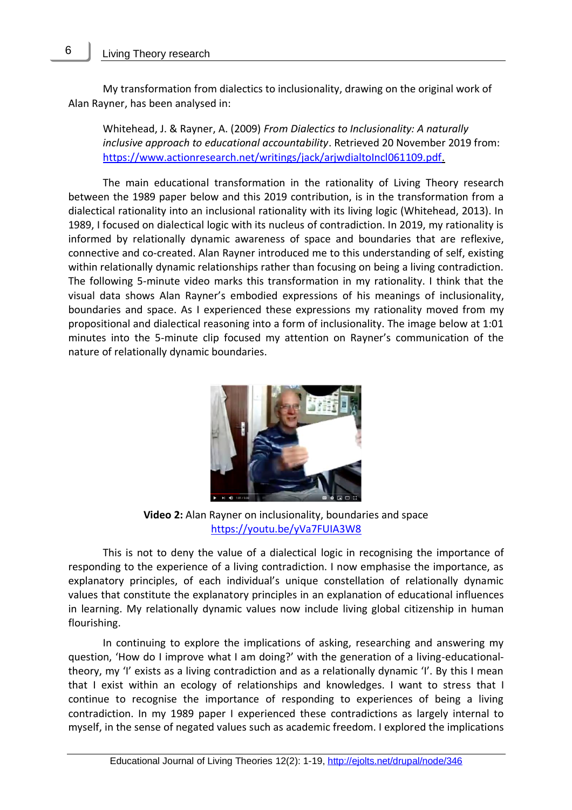My transformation from dialectics to inclusionality, drawing on the original work of Alan Rayner, has been analysed in:

Whitehead, J. & Rayner, A. (2009) *From Dialectics to Inclusionality: A naturally inclusive approach to educational accountability*. Retrieved 20 November 2019 from: [https://www.actionresearch.net/writings/jack/arjwdialtoIncl061109.pdf.](https://www.actionresearch.net/writings/jack/arjwdialtoIncl061109.pdf)

The main educational transformation in the rationality of Living Theory research between the 1989 paper below and this 2019 contribution, is in the transformation from a dialectical rationality into an inclusional rationality with its living logic (Whitehead, 2013). In 1989, I focused on dialectical logic with its nucleus of contradiction. In 2019, my rationality is informed by relationally dynamic awareness of space and boundaries that are reflexive, connective and co-created. Alan Rayner introduced me to this understanding of self, existing within relationally dynamic relationships rather than focusing on being a living contradiction. The following 5-minute video marks this transformation in my rationality. I think that the visual data shows Alan Rayner's embodied expressions of his meanings of inclusionality, boundaries and space. As I experienced these expressions my rationality moved from my propositional and dialectical reasoning into a form of inclusionality. The image below at 1:01 minutes into the 5-minute clip focused my attention on Rayner's communication of the nature of relationally dynamic boundaries.



**Video 2:** Alan Rayner on inclusionality, boundaries and space <https://youtu.be/yVa7FUIA3W8>

This is not to deny the value of a dialectical logic in recognising the importance of responding to the experience of a living contradiction. I now emphasise the importance, as explanatory principles, of each individual's unique constellation of relationally dynamic values that constitute the explanatory principles in an explanation of educational influences in learning. My relationally dynamic values now include living global citizenship in human flourishing.

In continuing to explore the implications of asking, researching and answering my question, 'How do I improve what I am doing?' with the generation of a living-educationaltheory, my 'I' exists as a living contradiction and as a relationally dynamic 'I'. By this I mean that I exist within an ecology of relationships and knowledges. I want to stress that I continue to recognise the importance of responding to experiences of being a living contradiction. In my 1989 paper I experienced these contradictions as largely internal to myself, in the sense of negated values such as academic freedom. I explored the implications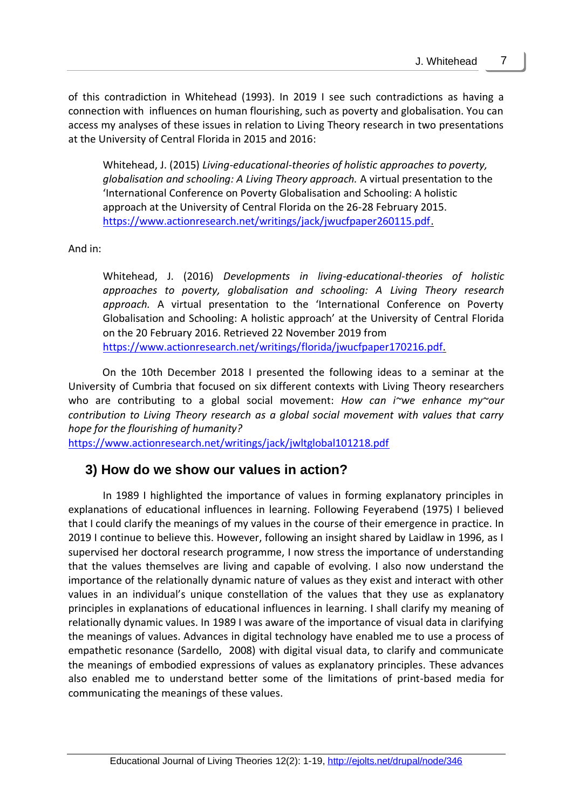of this contradiction in Whitehead (1993). In 2019 I see such contradictions as having a connection with influences on human flourishing, such as poverty and globalisation. You can access my analyses of these issues in relation to Living Theory research in two presentations at the University of Central Florida in 2015 and 2016:

Whitehead, J. (2015) *Living-educational-theories of holistic approaches to poverty, globalisation and schooling: A Living Theory approach.* A virtual presentation to the 'International Conference on Poverty Globalisation and Schooling: A holistic approach at the University of Central Florida on the 26-28 February 2015. <https://www.actionresearch.net/writings/jack/jwucfpaper260115.pdf>.

And in:

Whitehead, J. (2016) *Developments in living-educational-theories of holistic approaches to poverty, globalisation and schooling: A Living Theory research approach.* A virtual presentation to the 'International Conference on Poverty Globalisation and Schooling: A holistic approach' at the University of Central Florida on the 20 February 2016. Retrieved 22 November 2019 from [https://www.actionresearch.net/writings/florida/jwucfpaper170216.pdf.](https://www.actionresearch.net/writings/florida/jwucfpaper170216.pdf)

On the 10th December 2018 I presented the following ideas to a seminar at the University of Cumbria that focused on six different contexts with Living Theory researchers who are contributing to a global social movement: *How can i~we enhance my~our contribution to Living Theory research as a global social movement with values that carry hope for the flourishing of humanity?*

<https://www.actionresearch.net/writings/jack/jwltglobal101218.pdf>

## **3) How do we show our values in action?**

In 1989 I highlighted the importance of values in forming explanatory principles in explanations of educational influences in learning. Following Feyerabend (1975) I believed that I could clarify the meanings of my values in the course of their emergence in practice. In 2019 I continue to believe this. However, following an insight shared by Laidlaw in 1996, as I supervised her doctoral research programme, I now stress the importance of understanding that the values themselves are living and capable of evolving. I also now understand the importance of the relationally dynamic nature of values as they exist and interact with other values in an individual's unique constellation of the values that they use as explanatory principles in explanations of educational influences in learning. I shall clarify my meaning of relationally dynamic values. In 1989 I was aware of the importance of visual data in clarifying the meanings of values. Advances in digital technology have enabled me to use a process of empathetic resonance (Sardello, 2008) with digital visual data, to clarify and communicate the meanings of embodied expressions of values as explanatory principles. These advances also enabled me to understand better some of the limitations of print-based media for communicating the meanings of these values.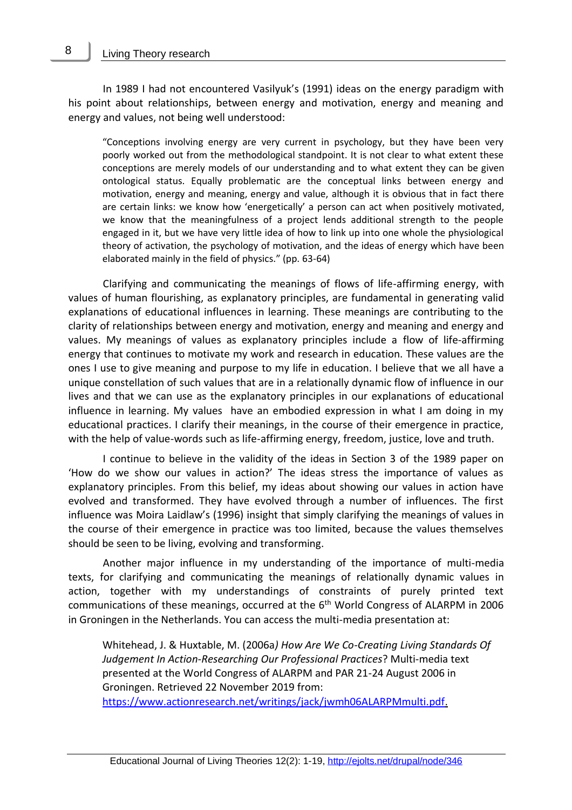In 1989 I had not encountered Vasilyuk's (1991) ideas on the energy paradigm with his point about relationships, between energy and motivation, energy and meaning and energy and values, not being well understood:

"Conceptions involving energy are very current in psychology, but they have been very poorly worked out from the methodological standpoint. It is not clear to what extent these conceptions are merely models of our understanding and to what extent they can be given ontological status. Equally problematic are the conceptual links between energy and motivation, energy and meaning, energy and value, although it is obvious that in fact there are certain links: we know how 'energetically' a person can act when positively motivated, we know that the meaningfulness of a project lends additional strength to the people engaged in it, but we have very little idea of how to link up into one whole the physiological theory of activation, the psychology of motivation, and the ideas of energy which have been elaborated mainly in the field of physics." (pp. 63-64)

Clarifying and communicating the meanings of flows of life-affirming energy, with values of human flourishing, as explanatory principles, are fundamental in generating valid explanations of educational influences in learning. These meanings are contributing to the clarity of relationships between energy and motivation, energy and meaning and energy and values. My meanings of values as explanatory principles include a flow of life-affirming energy that continues to motivate my work and research in education. These values are the ones I use to give meaning and purpose to my life in education. I believe that we all have a unique constellation of such values that are in a relationally dynamic flow of influence in our lives and that we can use as the explanatory principles in our explanations of educational influence in learning. My values have an embodied expression in what I am doing in my educational practices. I clarify their meanings, in the course of their emergence in practice, with the help of value-words such as life-affirming energy, freedom, justice, love and truth.

I continue to believe in the validity of the ideas in Section 3 of the 1989 paper on 'How do we show our values in action?' The ideas stress the importance of values as explanatory principles. From this belief, my ideas about showing our values in action have evolved and transformed. They have evolved through a number of influences. The first influence was Moira Laidlaw's (1996) insight that simply clarifying the meanings of values in the course of their emergence in practice was too limited, because the values themselves should be seen to be living, evolving and transforming.

Another major influence in my understanding of the importance of multi-media texts, for clarifying and communicating the meanings of relationally dynamic values in action, together with my understandings of constraints of purely printed text communications of these meanings, occurred at the  $6<sup>th</sup>$  World Congress of ALARPM in 2006 in Groningen in the Netherlands. You can access the multi-media presentation at:

Whitehead, J. & Huxtable, M. (2006a*) How Are We Co-Creating Living Standards Of Judgement In Action-Researching Our Professional Practices*? Multi-media text presented at the World Congress of ALARPM and PAR 21-24 August 2006 in Groningen. Retrieved 22 November 2019 from:

[https://www.actionresearch.net/writings/jack/jwmh06ALARPMmulti.pdf.](https://www.actionresearch.net/writings/jack/jwmh06ALARPMmulti.pdf)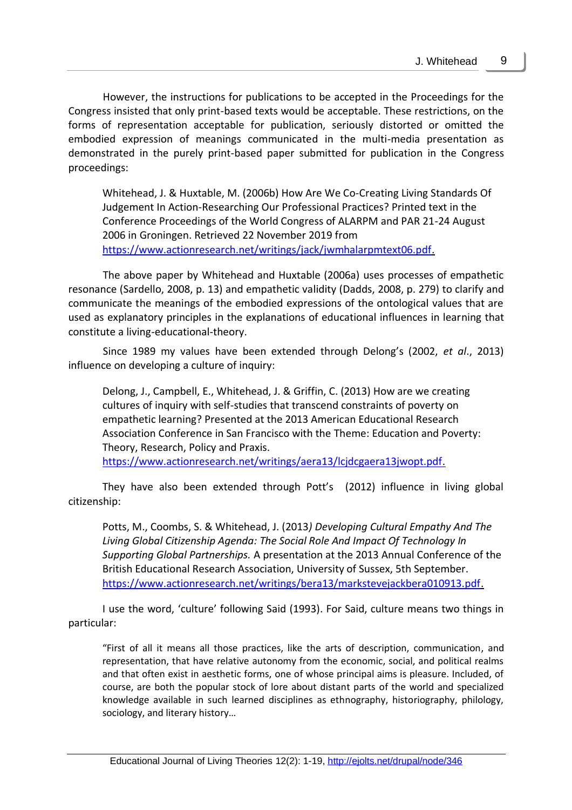However, the instructions for publications to be accepted in the Proceedings for the Congress insisted that only print-based texts would be acceptable. These restrictions, on the forms of representation acceptable for publication, seriously distorted or omitted the embodied expression of meanings communicated in the multi-media presentation as demonstrated in the purely print-based paper submitted for publication in the Congress proceedings:

Whitehead, J. & Huxtable, M. (2006b) How Are We Co-Creating Living Standards Of Judgement In Action-Researching Our Professional Practices? Printed text in the Conference Proceedings of the World Congress of ALARPM and PAR 21-24 August 2006 in Groningen. Retrieved 22 November 2019 from [https://www.actionresearch.net/writings/jack/jwmhalarpmtext06.pdf.](https://www.actionresearch.net/writings/jack/jwmhalarpmtext06.pdf)

The above paper by Whitehead and Huxtable (2006a) uses processes of empathetic resonance (Sardello, 2008, p. 13) and empathetic validity (Dadds, 2008, p. 279) to clarify and communicate the meanings of the embodied expressions of the ontological values that are used as explanatory principles in the explanations of educational influences in learning that constitute a living-educational-theory.

Since 1989 my values have been extended through Delong's (2002, *et al*., 2013) influence on developing a culture of inquiry:

Delong, J., Campbell, E., Whitehead, J. & Griffin, C. (2013) How are we creating cultures of inquiry with self-studies that transcend constraints of poverty on empathetic learning? Presented at the 2013 American Educational Research Association Conference in San Francisco with the Theme: Education and Poverty: Theory, Research, Policy and Praxis.

[https://www.actionresearch.net/writings/aera13/lcjdcgaera13jwopt.pdf.](https://www.actionresearch.net/writings/aera13/lcjdcgaera13jwopt.pdf)

They have also been extended through Pott's (2012) influence in living global citizenship:

Potts, M., Coombs, S. & Whitehead, J. (2013*) Developing Cultural Empathy And The Living Global Citizenship Agenda: The Social Role And Impact Of Technology In Supporting Global Partnerships.* A presentation at the 2013 Annual Conference of the British Educational Research Association, University of Sussex, 5th September. [https://www.actionresearch.net/writings/bera13/markstevejackbera010913.pdf.](https://www.actionresearch.net/writings/bera13/markstevejackbera010913.pdf)

I use the word, 'culture' following Said (1993). For Said, culture means two things in particular:

"First of all it means all those practices, like the arts of description, communication, and representation, that have relative autonomy from the economic, social, and political realms and that often exist in aesthetic forms, one of whose principal aims is pleasure. Included, of course, are both the popular stock of lore about distant parts of the world and specialized knowledge available in such learned disciplines as ethnography, historiography, philology, sociology, and literary history…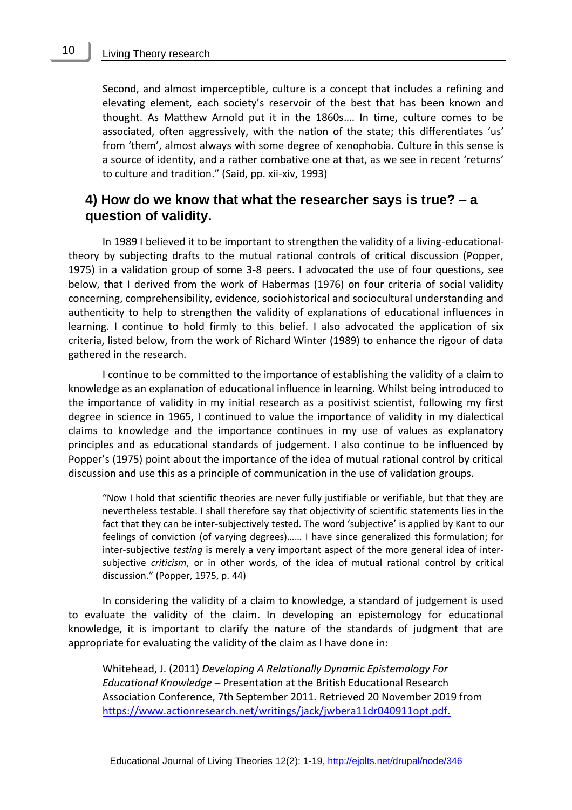#### Living Theory research

Second, and almost imperceptible, culture is a concept that includes a refining and elevating element, each society's reservoir of the best that has been known and thought. As Matthew Arnold put it in the 1860s…. In time, culture comes to be associated, often aggressively, with the nation of the state; this differentiates 'us' from 'them', almost always with some degree of xenophobia. Culture in this sense is a source of identity, and a rather combative one at that, as we see in recent 'returns' to culture and tradition." (Said, pp. xii-xiv, 1993)

### **4) How do we know that what the researcher says is true? – a question of validity.**

In 1989 I believed it to be important to strengthen the validity of a living-educationaltheory by subjecting drafts to the mutual rational controls of critical discussion (Popper, 1975) in a validation group of some 3-8 peers. I advocated the use of four questions, see below, that I derived from the work of Habermas (1976) on four criteria of social validity concerning, comprehensibility, evidence, sociohistorical and sociocultural understanding and authenticity to help to strengthen the validity of explanations of educational influences in learning. I continue to hold firmly to this belief. I also advocated the application of six criteria, listed below, from the work of Richard Winter (1989) to enhance the rigour of data gathered in the research.

I continue to be committed to the importance of establishing the validity of a claim to knowledge as an explanation of educational influence in learning. Whilst being introduced to the importance of validity in my initial research as a positivist scientist, following my first degree in science in 1965, I continued to value the importance of validity in my dialectical claims to knowledge and the importance continues in my use of values as explanatory principles and as educational standards of judgement. I also continue to be influenced by Popper's (1975) point about the importance of the idea of mutual rational control by critical discussion and use this as a principle of communication in the use of validation groups.

"Now I hold that scientific theories are never fully justifiable or verifiable, but that they are nevertheless testable. I shall therefore say that objectivity of scientific statements lies in the fact that they can be inter-subjectively tested. The word 'subjective' is applied by Kant to our feelings of conviction (of varying degrees)…… I have since generalized this formulation; for inter-subjective *testing* is merely a very important aspect of the more general idea of intersubjective *criticism*, or in other words, of the idea of mutual rational control by critical discussion." (Popper, 1975, p. 44)

In considering the validity of a claim to knowledge, a standard of judgement is used to evaluate the validity of the claim. In developing an epistemology for educational knowledge, it is important to clarify the nature of the standards of judgment that are appropriate for evaluating the validity of the claim as I have done in:

Whitehead, J. (2011) *Developing A Relationally Dynamic Epistemology For Educational Knowledge* – Presentation at the British Educational Research Association Conference, 7th September 2011. Retrieved 20 November 2019 from [https://www.actionresearch.net/writings/jack/jwbera11dr040911opt.pdf.](https://www.actionresearch.net/writings/jack/jwbera11dr040911opt.pdf)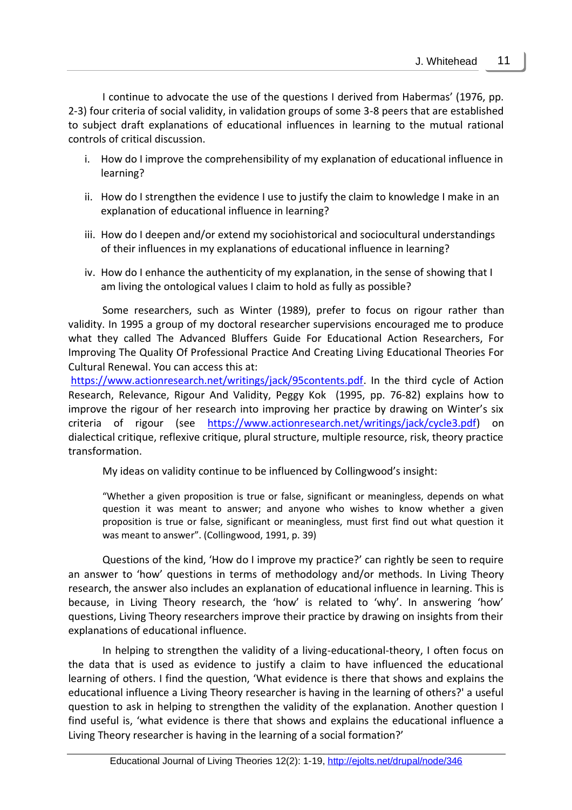I continue to advocate the use of the questions I derived from Habermas' (1976, pp. 2-3) four criteria of social validity, in validation groups of some 3-8 peers that are established to subject draft explanations of educational influences in learning to the mutual rational controls of critical discussion.

- i. How do I improve the comprehensibility of my explanation of educational influence in learning?
- ii. How do I strengthen the evidence I use to justify the claim to knowledge I make in an explanation of educational influence in learning?
- iii. How do I deepen and/or extend my sociohistorical and sociocultural understandings of their influences in my explanations of educational influence in learning?
- iv. How do I enhance the authenticity of my explanation, in the sense of showing that I am living the ontological values I claim to hold as fully as possible?

Some researchers, such as Winter (1989), prefer to focus on rigour rather than validity. In 1995 a group of my doctoral researcher supervisions encouraged me to produce what they called The Advanced Bluffers Guide For Educational Action Researchers, For Improving The Quality Of Professional Practice And Creating Living Educational Theories For Cultural Renewal. You can access this at:

[https://www.actionresearch.net/writings/jack/95contents.pdf.](https://www.actionresearch.net/writings/jack/95contents.pdf) In the third cycle of Action Research, Relevance, Rigour And Validity, Peggy Kok (1995, pp. 76-82) explains how to improve the rigour of her research into improving her practice by drawing on Winter's six criteria of rigour (see [https://www.actionresearch.net/writings/jack/cycle3.pdf\)](https://www.actionresearch.net/writings/jack/cycle3.pdf) on dialectical critique, reflexive critique, plural structure, multiple resource, risk, theory practice transformation.

My ideas on validity continue to be influenced by Collingwood's insight:

"Whether a given proposition is true or false, significant or meaningless, depends on what question it was meant to answer; and anyone who wishes to know whether a given proposition is true or false, significant or meaningless, must first find out what question it was meant to answer". (Collingwood, 1991, p. 39)

Questions of the kind, 'How do I improve my practice?' can rightly be seen to require an answer to 'how' questions in terms of methodology and/or methods. In Living Theory research, the answer also includes an explanation of educational influence in learning. This is because, in Living Theory research, the 'how' is related to 'why'. In answering 'how' questions, Living Theory researchers improve their practice by drawing on insights from their explanations of educational influence.

In helping to strengthen the validity of a living-educational-theory, I often focus on the data that is used as evidence to justify a claim to have influenced the educational learning of others. I find the question, 'What evidence is there that shows and explains the educational influence a Living Theory researcher is having in the learning of others?' a useful question to ask in helping to strengthen the validity of the explanation. Another question I find useful is, 'what evidence is there that shows and explains the educational influence a Living Theory researcher is having in the learning of a social formation?'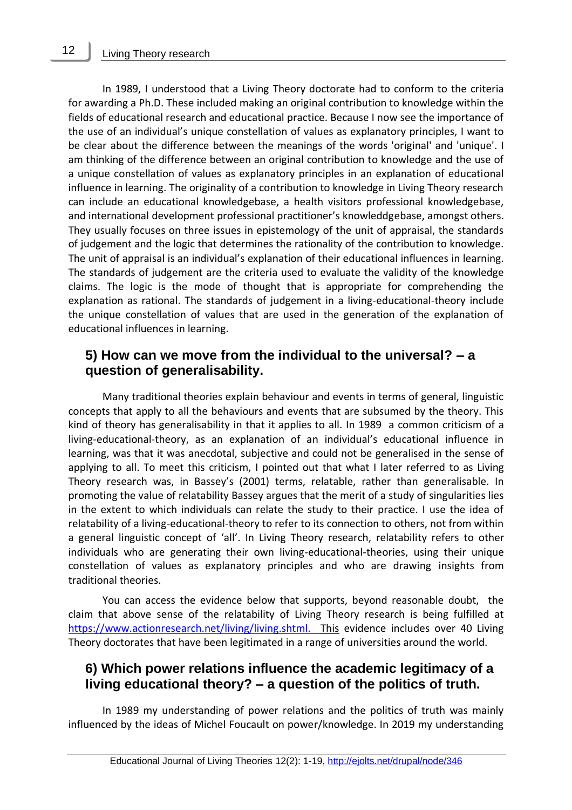In 1989, I understood that a Living Theory doctorate had to conform to the criteria for awarding a Ph.D. These included making an original contribution to knowledge within the fields of educational research and educational practice. Because I now see the importance of the use of an individual's unique constellation of values as explanatory principles, I want to be clear about the difference between the meanings of the words 'original' and 'unique'. I am thinking of the difference between an original contribution to knowledge and the use of a unique constellation of values as explanatory principles in an explanation of educational influence in learning. The originality of a contribution to knowledge in Living Theory research can include an educational knowledgebase, a health visitors professional knowledgebase, and international development professional practitioner's knowleddgebase, amongst others. They usually focuses on three issues in epistemology of the unit of appraisal, the standards of judgement and the logic that determines the rationality of the contribution to knowledge. The unit of appraisal is an individual's explanation of their educational influences in learning. The standards of judgement are the criteria used to evaluate the validity of the knowledge claims. The logic is the mode of thought that is appropriate for comprehending the explanation as rational. The standards of judgement in a living-educational-theory include the unique constellation of values that are used in the generation of the explanation of educational influences in learning.

### **5) How can we move from the individual to the universal? – a question of generalisability.**

Many traditional theories explain behaviour and events in terms of general, linguistic concepts that apply to all the behaviours and events that are subsumed by the theory. This kind of theory has generalisability in that it applies to all. In 1989 a common criticism of a living-educational-theory, as an explanation of an individual's educational influence in learning, was that it was anecdotal, subjective and could not be generalised in the sense of applying to all. To meet this criticism, I pointed out that what I later referred to as Living Theory research was, in Bassey's (2001) terms, relatable, rather than generalisable. In promoting the value of relatability Bassey argues that the merit of a study of singularities lies in the extent to which individuals can relate the study to their practice. I use the idea of relatability of a living-educational-theory to refer to its connection to others, not from within a general linguistic concept of 'all'. In Living Theory research, relatability refers to other individuals who are generating their own living-educational-theories, using their unique constellation of values as explanatory principles and who are drawing insights from traditional theories.

You can access the evidence below that supports, beyond reasonable doubt, the claim that above sense of the relatability of Living Theory research is being fulfilled at [https://www.actionresearch.net/living/living.shtml. This](https://www.actionresearch.net/living/living.shtml.%20%20This) evidence includes over 40 Living Theory doctorates that have been legitimated in a range of universities around the world.

### **6) Which power relations influence the academic legitimacy of a living educational theory? – a question of the politics of truth.**

In 1989 my understanding of power relations and the politics of truth was mainly influenced by the ideas of Michel Foucault on power/knowledge. In 2019 my understanding

12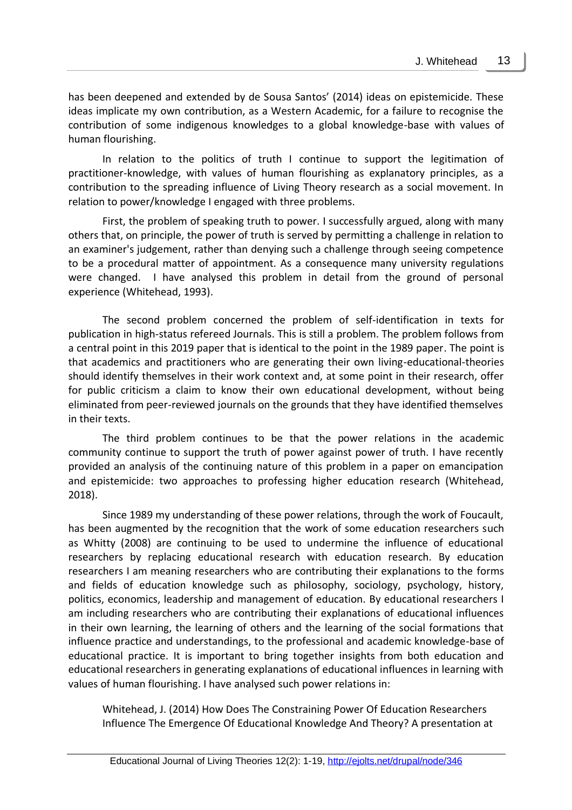has been deepened and extended by de Sousa Santos' (2014) ideas on epistemicide. These ideas implicate my own contribution, as a Western Academic, for a failure to recognise the contribution of some indigenous knowledges to a global knowledge-base with values of human flourishing.

In relation to the politics of truth I continue to support the legitimation of practitioner-knowledge, with values of human flourishing as explanatory principles, as a contribution to the spreading influence of Living Theory research as a social movement. In relation to power/knowledge I engaged with three problems.

First, the problem of speaking truth to power. I successfully argued, along with many others that, on principle, the power of truth is served by permitting a challenge in relation to an examiner's judgement, rather than denying such a challenge through seeing competence to be a procedural matter of appointment. As a consequence many university regulations were changed. I have analysed this problem in detail from the ground of personal experience (Whitehead, 1993).

The second problem concerned the problem of self-identification in texts for publication in high-status refereed Journals. This is still a problem. The problem follows from a central point in this 2019 paper that is identical to the point in the 1989 paper. The point is that academics and practitioners who are generating their own living-educational-theories should identify themselves in their work context and, at some point in their research, offer for public criticism a claim to know their own educational development, without being eliminated from peer-reviewed journals on the grounds that they have identified themselves in their texts.

The third problem continues to be that the power relations in the academic community continue to support the truth of power against power of truth. I have recently provided an analysis of the continuing nature of this problem in a paper on emancipation and epistemicide: two approaches to professing higher education research (Whitehead, 2018).

Since 1989 my understanding of these power relations, through the work of Foucault, has been augmented by the recognition that the work of some education researchers such as Whitty (2008) are continuing to be used to undermine the influence of educational researchers by replacing educational research with education research. By education researchers I am meaning researchers who are contributing their explanations to the forms and fields of education knowledge such as philosophy, sociology, psychology, history, politics, economics, leadership and management of education. By educational researchers I am including researchers who are contributing their explanations of educational influences in their own learning, the learning of others and the learning of the social formations that influence practice and understandings, to the professional and academic knowledge-base of educational practice. It is important to bring together insights from both education and educational researchers in generating explanations of educational influences in learning with values of human flourishing. I have analysed such power relations in:

Whitehead, J. (2014) How Does The Constraining Power Of Education Researchers Influence The Emergence Of Educational Knowledge And Theory? A presentation at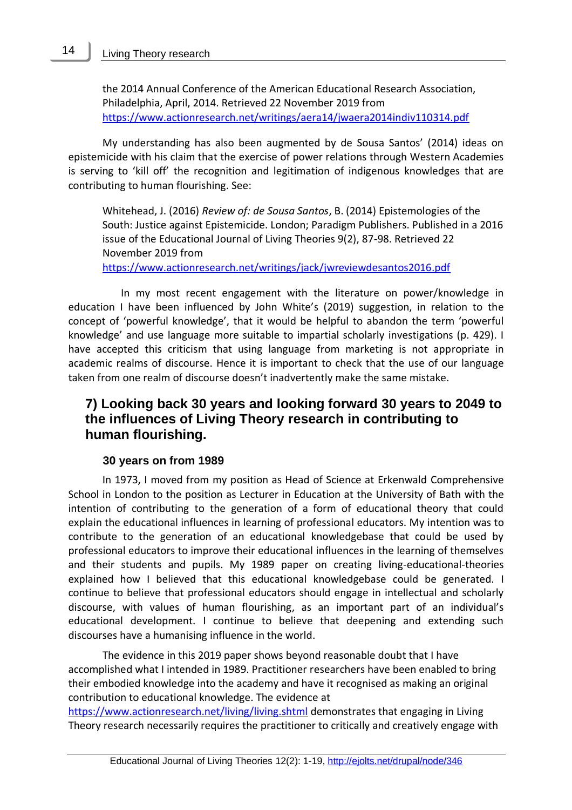#### Living Theory research

14

the 2014 Annual Conference of the American Educational Research Association, Philadelphia, April, 2014. Retrieved 22 November 2019 from <https://www.actionresearch.net/writings/aera14/jwaera2014indiv110314.pdf>

My understanding has also been augmented by de Sousa Santos' (2014) ideas on epistemicide with his claim that the exercise of power relations through Western Academies is serving to 'kill off' the recognition and legitimation of indigenous knowledges that are contributing to human flourishing. See:

Whitehead, J. (2016) *Review of: de Sousa Santos*, B. (2014) Epistemologies of the South: Justice against Epistemicide. London; Paradigm Publishers. Published in a 2016 issue of the Educational Journal of Living Theories 9(2), 87-98. Retrieved 22 November 2019 from

<https://www.actionresearch.net/writings/jack/jwreviewdesantos2016.pdf>

 In my most recent engagement with the literature on power/knowledge in education I have been influenced by John White's (2019) suggestion, in relation to the concept of 'powerful knowledge', that it would be helpful to abandon the term 'powerful knowledge' and use language more suitable to impartial scholarly investigations (p. 429). I have accepted this criticism that using language from marketing is not appropriate in academic realms of discourse. Hence it is important to check that the use of our language taken from one realm of discourse doesn't inadvertently make the same mistake.

# **7) Looking back 30 years and looking forward 30 years to 2049 to the influences of Living Theory research in contributing to human flourishing.**

#### **30 years on from 1989**

In 1973, I moved from my position as Head of Science at Erkenwald Comprehensive School in London to the position as Lecturer in Education at the University of Bath with the intention of contributing to the generation of a form of educational theory that could explain the educational influences in learning of professional educators. My intention was to contribute to the generation of an educational knowledgebase that could be used by professional educators to improve their educational influences in the learning of themselves and their students and pupils. My 1989 paper on creating living-educational-theories explained how I believed that this educational knowledgebase could be generated. I continue to believe that professional educators should engage in intellectual and scholarly discourse, with values of human flourishing, as an important part of an individual's educational development. I continue to believe that deepening and extending such discourses have a humanising influence in the world.

The evidence in this 2019 paper shows beyond reasonable doubt that I have accomplished what I intended in 1989. Practitioner researchers have been enabled to bring their embodied knowledge into the academy and have it recognised as making an original contribution to educational knowledge. The evidence at

<https://www.actionresearch.net/living/living.shtml> demonstrates that engaging in Living Theory research necessarily requires the practitioner to critically and creatively engage with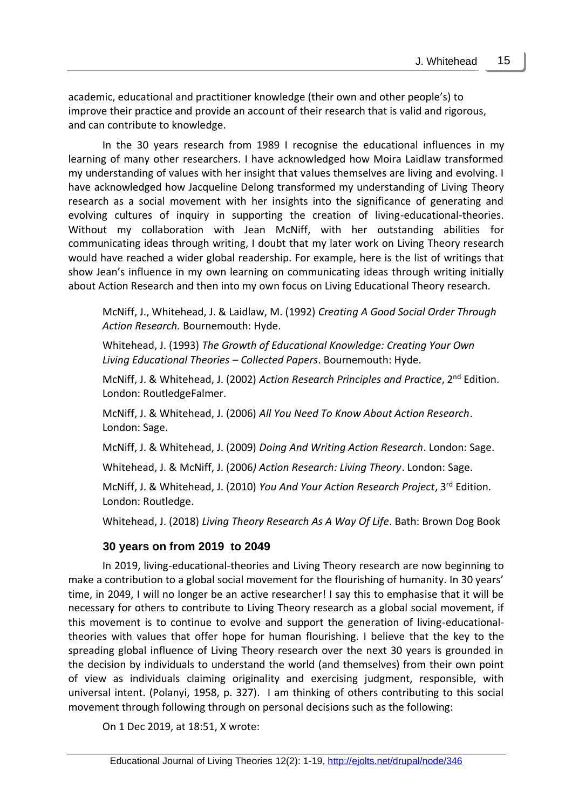academic, educational and practitioner knowledge (their own and other people's) to improve their practice and provide an account of their research that is valid and rigorous, and can contribute to knowledge.

In the 30 years research from 1989 I recognise the educational influences in my learning of many other researchers. I have acknowledged how Moira Laidlaw transformed my understanding of values with her insight that values themselves are living and evolving. I have acknowledged how Jacqueline Delong transformed my understanding of Living Theory research as a social movement with her insights into the significance of generating and evolving cultures of inquiry in supporting the creation of living-educational-theories. Without my collaboration with Jean McNiff, with her outstanding abilities for communicating ideas through writing, I doubt that my later work on Living Theory research would have reached a wider global readership. For example, here is the list of writings that show Jean's influence in my own learning on communicating ideas through writing initially about Action Research and then into my own focus on Living Educational Theory research.

McNiff, J., Whitehead, J. & Laidlaw, M. (1992) *Creating A Good Social Order Through Action Research.* Bournemouth: Hyde.

Whitehead, J. (1993) *The Growth of Educational Knowledge: Creating Your Own Living Educational Theories – Collected Papers*. Bournemouth: Hyde.

McNiff, J. & Whitehead, J. (2002) *Action Research Principles and Practice*, 2nd Edition. London: RoutledgeFalmer.

McNiff, J. & Whitehead, J. (2006) *All You Need To Know About Action Research*. London: Sage.

McNiff, J. & Whitehead, J. (2009) *Doing And Writing Action Research*. London: Sage.

Whitehead, J. & McNiff, J. (2006*) Action Research: Living Theory*. London: Sage.

McNiff, J. & Whitehead, J. (2010) *You And Your Action Research Project*, 3rd Edition. London: Routledge.

Whitehead, J. (2018) *Living Theory Research As A Way Of Life*. Bath: Brown Dog Book

#### **30 years on from 2019 to 2049**

In 2019, living-educational-theories and Living Theory research are now beginning to make a contribution to a global social movement for the flourishing of humanity. In 30 years' time, in 2049, I will no longer be an active researcher! I say this to emphasise that it will be necessary for others to contribute to Living Theory research as a global social movement, if this movement is to continue to evolve and support the generation of living-educationaltheories with values that offer hope for human flourishing. I believe that the key to the spreading global influence of Living Theory research over the next 30 years is grounded in the decision by individuals to understand the world (and themselves) from their own point of view as individuals claiming originality and exercising judgment, responsible, with universal intent. (Polanyi, 1958, p. 327). I am thinking of others contributing to this social movement through following through on personal decisions such as the following:

On 1 Dec 2019, at 18:51, X wrote: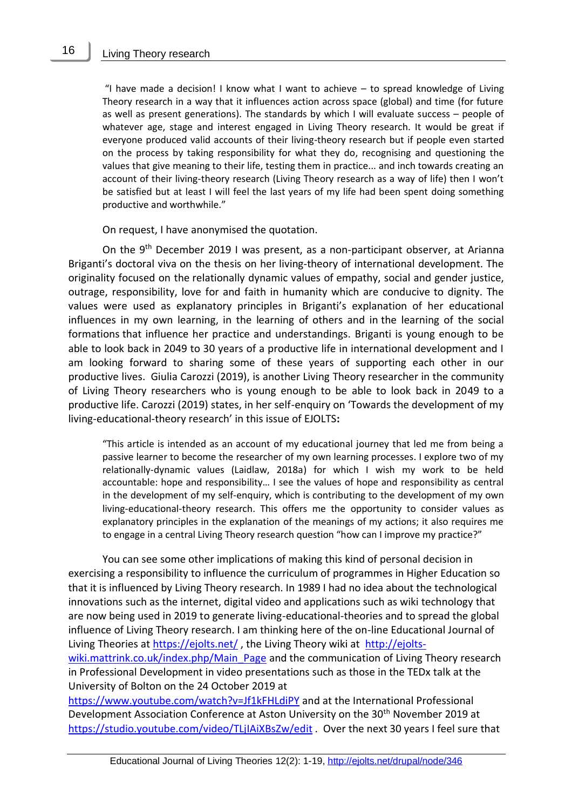16

"I have made a decision! I know what I want to achieve – to spread knowledge of Living Theory research in a way that it influences action across space (global) and time (for future as well as present generations). The standards by which I will evaluate success – people of whatever age, stage and interest engaged in Living Theory research. It would be great if everyone produced valid accounts of their living-theory research but if people even started on the process by taking responsibility for what they do, recognising and questioning the values that give meaning to their life, testing them in practice... and inch towards creating an account of their living-theory research (Living Theory research as a way of life) then I won't be satisfied but at least I will feel the last years of my life had been spent doing something productive and worthwhile."

On request, I have anonymised the quotation.

On the 9th December 2019 I was present, as a non-participant observer, at Arianna Briganti's doctoral viva on the thesis on her living-theory of international development. The originality focused on the relationally dynamic values of empathy, social and gender justice, outrage, responsibility, love for and faith in humanity which are conducive to dignity. The values were used as explanatory principles in Briganti's explanation of her educational influences in my own learning, in the learning of others and in the learning of the social formations that influence her practice and understandings. Briganti is young enough to be able to look back in 2049 to 30 years of a productive life in international development and I am looking forward to sharing some of these years of supporting each other in our productive lives. Giulia Carozzi (2019), is another Living Theory researcher in the community of Living Theory researchers who is young enough to be able to look back in 2049 to a productive life. Carozzi (2019) states, in her self-enquiry on 'Towards the development of my living-educational-theory research' in this issue of EJOLTS**:**

"This article is intended as an account of my educational journey that led me from being a passive learner to become the researcher of my own learning processes. I explore two of my relationally-dynamic values (Laidlaw, 2018a) for which I wish my work to be held accountable: hope and responsibility… I see the values of hope and responsibility as central in the development of my self-enquiry, which is contributing to the development of my own living-educational-theory research. This offers me the opportunity to consider values as explanatory principles in the explanation of the meanings of my actions; it also requires me to engage in a central Living Theory research question "how can I improve my practice?"

You can see some other implications of making this kind of personal decision in exercising a responsibility to influence the curriculum of programmes in Higher Education so that it is influenced by Living Theory research. In 1989 I had no idea about the technological innovations such as the internet, digital video and applications such as wiki technology that are now being used in 2019 to generate living-educational-theories and to spread the global influence of Living Theory research. I am thinking here of the on-line Educational Journal of Living Theories at<https://ejolts.net/> , the Living Theory wiki at [http://ejolts](http://ejolts-wiki.mattrink.co.uk/index.php/Main_Page)[wiki.mattrink.co.uk/index.php/Main\\_Page](http://ejolts-wiki.mattrink.co.uk/index.php/Main_Page) and the communication of Living Theory research in Professional Development in video presentations such as those in the TEDx talk at the University of Bolton on the 24 October 2019 at

<https://www.youtube.com/watch?v=Jf1kFHLdiPY> and at the International Professional Development Association Conference at Aston University on the 30<sup>th</sup> November 2019 at <https://studio.youtube.com/video/TLjIAiXBsZw/edit> . Over the next 30 years I feel sure that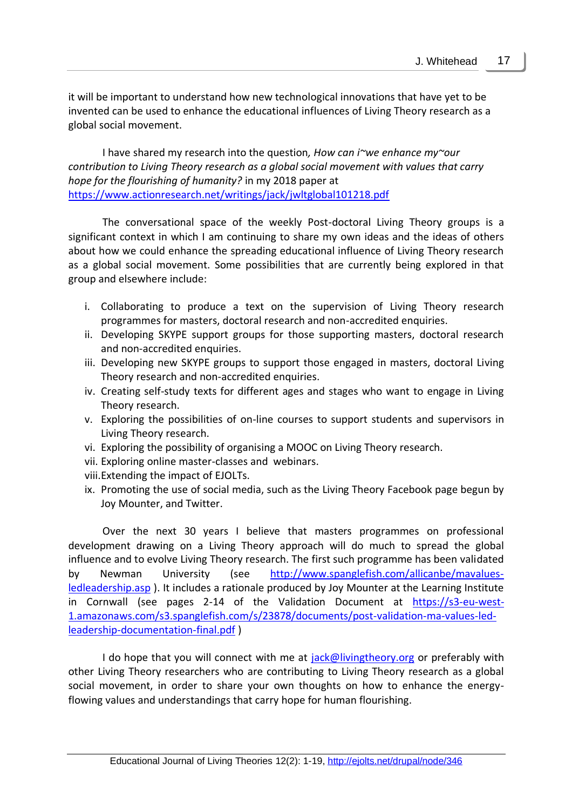it will be important to understand how new technological innovations that have yet to be invented can be used to enhance the educational influences of Living Theory research as a global social movement.

I have shared my research into the question*, How can i~we enhance my~our contribution to Living Theory research as a global social movement with values that carry hope for the flourishing of humanity?* in my 2018 paper at <https://www.actionresearch.net/writings/jack/jwltglobal101218.pdf>

The conversational space of the weekly Post-doctoral Living Theory groups is a significant context in which I am continuing to share my own ideas and the ideas of others about how we could enhance the spreading educational influence of Living Theory research as a global social movement. Some possibilities that are currently being explored in that group and elsewhere include:

- i. Collaborating to produce a text on the supervision of Living Theory research programmes for masters, doctoral research and non-accredited enquiries.
- ii. Developing SKYPE support groups for those supporting masters, doctoral research and non-accredited enquiries.
- iii. Developing new SKYPE groups to support those engaged in masters, doctoral Living Theory research and non-accredited enquiries.
- iv. Creating self-study texts for different ages and stages who want to engage in Living Theory research.
- v. Exploring the possibilities of on-line courses to support students and supervisors in Living Theory research.
- vi. Exploring the possibility of organising a MOOC on Living Theory research.
- vii. Exploring online master-classes and webinars.
- viii.Extending the impact of EJOLTs.
- ix. Promoting the use of social media, such as the Living Theory Facebook page begun by Joy Mounter, and Twitter.

Over the next 30 years I believe that masters programmes on professional development drawing on a Living Theory approach will do much to spread the global influence and to evolve Living Theory research. The first such programme has been validated by Newman University (see [http://www.spanglefish.com/allicanbe/mavalues](http://www.spanglefish.com/allicanbe/mavalues-ledleadership.asp)[ledleadership.asp](http://www.spanglefish.com/allicanbe/mavalues-ledleadership.asp) ). It includes a rationale produced by Joy Mounter at the Learning Institute in Cornwall (see pages 2-14 of the Validation Document at [https://s3-eu-west-](https://s3-eu-west-1.amazonaws.com/s3.spanglefish.com/s/23878/documents/post-validation-ma-values-led-leadership-documentation-final.pdf)[1.amazonaws.com/s3.spanglefish.com/s/23878/documents/post-validation-ma-values-led](https://s3-eu-west-1.amazonaws.com/s3.spanglefish.com/s/23878/documents/post-validation-ma-values-led-leadership-documentation-final.pdf)[leadership-documentation-final.pdf](https://s3-eu-west-1.amazonaws.com/s3.spanglefish.com/s/23878/documents/post-validation-ma-values-led-leadership-documentation-final.pdf) )

I do hope that you will connect with me at [jack@livingtheory.org](mailto:jack@livingtheory.org) or preferably with other Living Theory researchers who are contributing to Living Theory research as a global social movement, in order to share your own thoughts on how to enhance the energyflowing values and understandings that carry hope for human flourishing.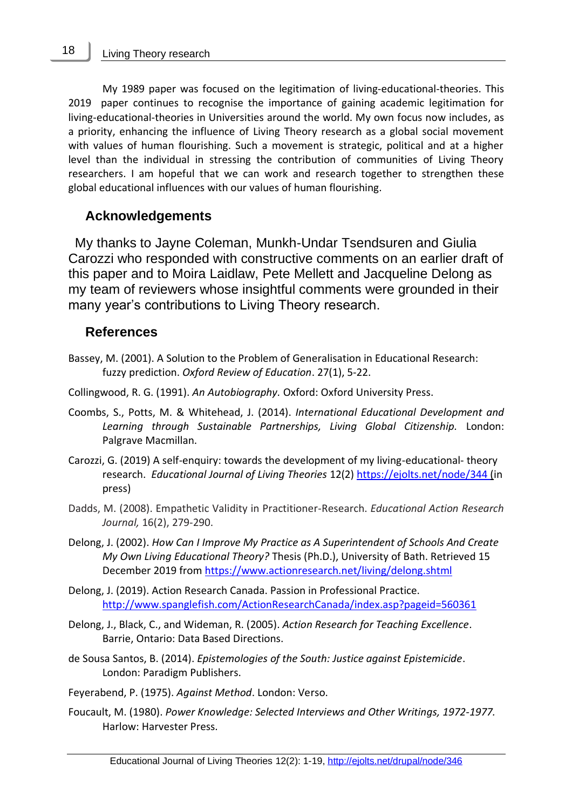My 1989 paper was focused on the legitimation of living-educational-theories. This 2019 paper continues to recognise the importance of gaining academic legitimation for living-educational-theories in Universities around the world. My own focus now includes, as a priority, enhancing the influence of Living Theory research as a global social movement with values of human flourishing. Such a movement is strategic, political and at a higher level than the individual in stressing the contribution of communities of Living Theory researchers. I am hopeful that we can work and research together to strengthen these global educational influences with our values of human flourishing.

### **Acknowledgements**

My thanks to Jayne Coleman, Munkh-Undar Tsendsuren and Giulia Carozzi who responded with constructive comments on an earlier draft of this paper and to Moira Laidlaw, Pete Mellett and Jacqueline Delong as my team of reviewers whose insightful comments were grounded in their many year's contributions to Living Theory research.

#### **References**

- Bassey, M. (2001). A Solution to the Problem of Generalisation in Educational Research: fuzzy prediction. *Oxford Review of Education*. 27(1), 5-22.
- Collingwood, R. G. (1991). *An Autobiography.* Oxford: Oxford University Press.
- Coombs, S., Potts, M. & Whitehead, J. (2014). *International Educational Development and Learning through Sustainable Partnerships, Living Global Citizenship.* London: Palgrave Macmillan.
- Carozzi, G. (2019) A self-enquiry: towards the development of my living-educational- theory research. *Educational Journal of Living Theories* 12(2[\) https://ejolts.net/node/344](https://ejolts.net/node/344) (in press)
- Dadds, M. (2008). Empathetic Validity in Practitioner-Research. *Educational Action Research Journal,* 16(2), 279-290.
- Delong, J. (2002). *How Can I Improve My Practice as A Superintendent of Schools And Create My Own Living Educational Theory?* Thesis (Ph.D.), University of Bath. Retrieved 15 December 2019 from<https://www.actionresearch.net/living/delong.shtml>
- Delong, J. (2019). Action Research Canada. Passion in Professional Practice. <http://www.spanglefish.com/ActionResearchCanada/index.asp?pageid=560361>
- Delong, J., Black, C., and Wideman, R. (2005). *Action Research for Teaching Excellence*. Barrie, Ontario: Data Based Directions.
- de Sousa Santos, B. (2014). *Epistemologies of the South: Justice against Epistemicide*. London: Paradigm Publishers.
- Feyerabend, P. (1975). *Against Method*. London: Verso.
- Foucault, M. (1980). *Power Knowledge: Selected Interviews and Other Writings, 1972-1977.* Harlow: Harvester Press.